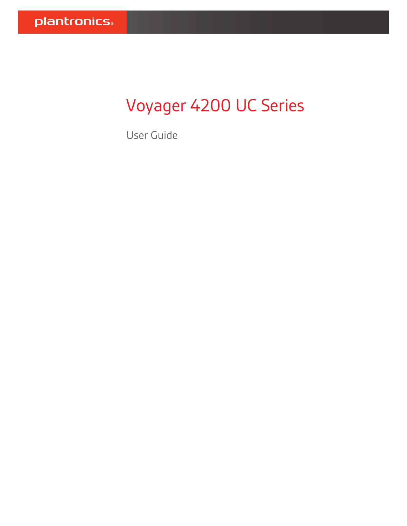# Voyager 4200 UC Series

User Guide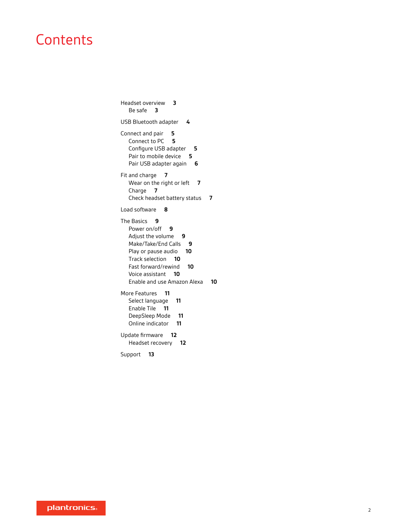### **Contents**

```
Headset overview 3
  Be safe 3
USB Bluetooth adapter 4
Connect and pair 5
  Connect to PC 5
  Configure USB adapter 5
  Pair to mobile device 5
  Pair USB adapter again 6
Fit and charge 7
  Wear on the right or left 7
  Charge 7
  Check headset battery status 7
Load software 8
The Basics 9
  Power on/off 9
  Adjust the volume 9
  Make/Take/End Calls 9
  Play or pause audio 10
  Track selection 10
  Fast forward/rewind 10
  Voice assistant 10
  Enable and use Amazon Alexa 10
More Features 11
  Select language 11
  Enable Tile 11
  DeepSleep Mode 11
  Online indicator 11
Update firmware 12
  Headset recovery 12
Support 13
```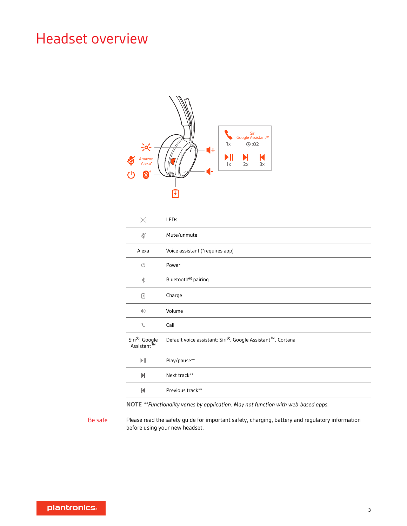# <span id="page-2-0"></span>Headset overview



| $\div \circ \div$                        | LEDs                                                       |  |  |
|------------------------------------------|------------------------------------------------------------|--|--|
| 马                                        | Mute/unmute                                                |  |  |
| Alexa                                    | Voice assistant (*requires app)                            |  |  |
| $\circlearrowleft$                       | Power                                                      |  |  |
| $\ast$                                   | Bluetooth <sup>®</sup> pairing                             |  |  |
| 囱                                        | Charge                                                     |  |  |
| $\ket{(*)}$                              | Volume                                                     |  |  |
| X                                        | Call                                                       |  |  |
| Siri <sup>®</sup> , Google<br>Assistant™ | Default voice assistant: Siri®, Google Assistant™, Cortana |  |  |
| $\blacktriangleright$ $\parallel$        | Play/pause**                                               |  |  |
| И                                        | Next track**                                               |  |  |
| К                                        | Previous track**                                           |  |  |

**NOTE** *\*\*Functionality varies by application. May not function with web-based apps.*

Please read the safety guide for important safety, charging, battery and regulatory information before using your new headset. Be safe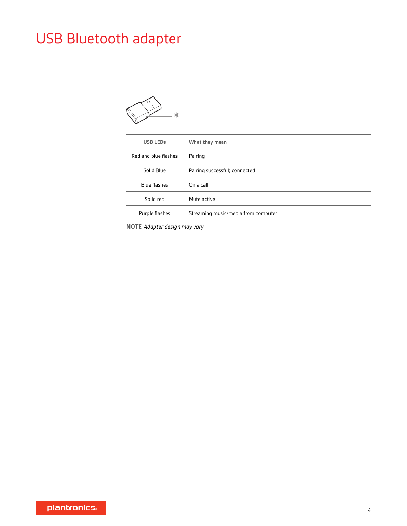# <span id="page-3-0"></span>USB Bluetooth adapter



**NOTE** *Adapter design may vary*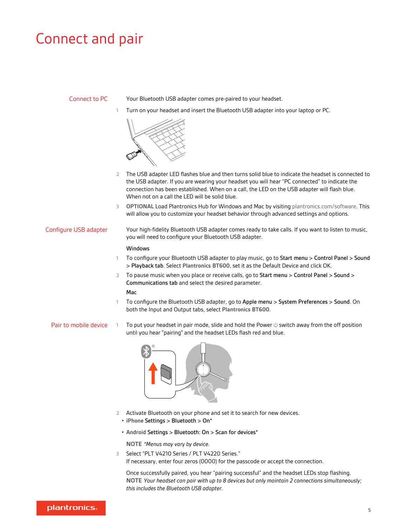### <span id="page-4-0"></span>Connect and pair

#### Connect to PC

Your Bluetooth USB adapter comes pre-paired to your headset.

**1** Turn on your headset and insert the Bluetooth USB adapter into your laptop or PC.



- **2** The USB adapter LED flashes blue and then turns solid blue to indicate the headset is connected to the USB adapter. If you are wearing your headset you will hear "PC connected" to indicate the connection has been established. When on a call, the LED on the USB adapter will flash blue. When not on a call the LED will be solid blue.
- **3 OPTIONAL** Load Plantronics Hub for Windows and Mac by visiting [plantronics.com/software.](https://www.plantronics.com/software) This will allow you to customize your headset behavior through advanced settings and options.

Your high-fidelity Bluetooth USB adapter comes ready to take calls. If you want to listen to music, you will need to configure your Bluetooth USB adapter. Configure USB adapter

#### Windows

- **1** To configure your Bluetooth USB adapter to play music, go to Start menu > Control Panel > Sound > Playback tab. Select **Plantronics BT600,** set it as the Default Device and click OK.
- **2** To pause music when you place or receive calls, go to Start menu > Control Panel > Sound > Communications tab and select the desired parameter. Mac
- **1** To configure the Bluetooth USB adapter, go to Apple menu > System Preferences > Sound. On both the Input and Output tabs, select **Plantronics BT600**.
- 1 To put your headset in pair mode, slide and hold the Power  $\circlearrowright$  switch away from the off position until you hear "pairing" and the headset LEDs flash red and blue. Pair to mobile device



- **2** Activate Bluetooth on your phone and set it to search for new devices.
	- **iPhone** Settings > Bluetooth > On\*
	- **Android** Settings > Bluetooth: On > Scan for devices\*

**NOTE** *\*Menus may vary by device.*

**3** Select "PLT V4210 Series / PLT V4220 Series."

If necessary, enter four zeros (0000) for the passcode or accept the connection.

Once successfully paired, you hear "pairing successful" and the headset LEDs stop flashing. **NOTE** *Your headset can pair with up to 8 devices but only maintain 2 connections simultaneously; this includes the Bluetooth USB adapter.*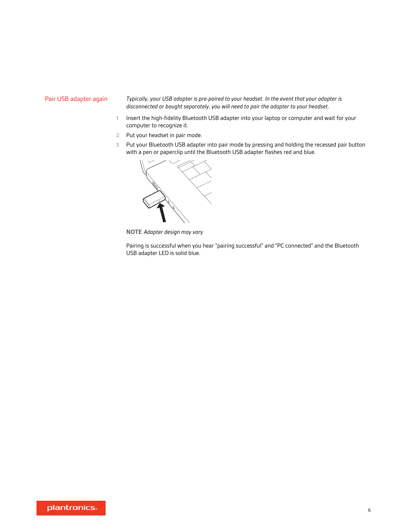#### <span id="page-5-0"></span>Pair USB adapter again

*Typically, your USB adapter is pre-paired to your headset. In the event that your adapter is disconnected or bought separately, you will need to pair the adapter to your headset.*

- **1** Insert the high-fidelity Bluetooth USB adapter into your laptop or computer and wait for your computer to recognize it.
- **2** Put your headset in pair mode.
- **3** Put your Bluetooth USB adapter into pair mode by pressing and holding the recessed pair button with a pen or paperclip until the Bluetooth USB adapter flashes red and blue.



**NOTE** *Adapter design may vary*

Pairing is successful when you hear "pairing successful" and "PC connected" and the Bluetooth USB adapter LED is solid blue.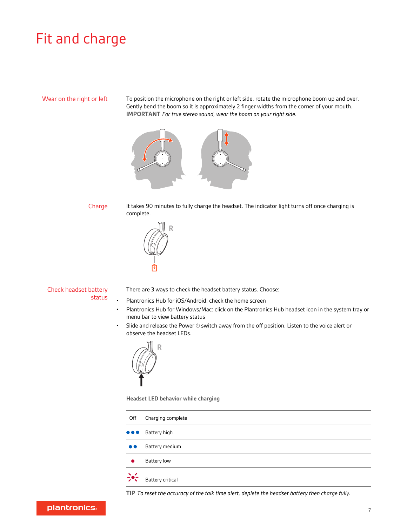### <span id="page-6-0"></span>Fit and charge

Wear on the right or left

To position the microphone on the right or left side, rotate the microphone boom up and over. Gently bend the boom so it is approximately 2 finger widths from the corner of your mouth. **IMPORTANT** *For true stereo sound, wear the boom on your right side.*



#### Charge

It takes 90 minutes to fully charge the headset. The indicator light turns off once charging is complete.



#### Check headset battery status

There are 3 ways to check the headset battery status. Choose:

- Plantronics Hub for iOS/Android: check the home screen
- Plantronics Hub for Windows/Mac: click on the Plantronics Hub headset icon in the system tray or menu bar to view battery status
- Slide and release the Power  $\Theta$  switch away from the off position. Listen to the voice alert or observe the headset LEDs.



**Headset LED behavior while charging**

| Off                     | Charging complete       |
|-------------------------|-------------------------|
| $\bullet\bullet\bullet$ | Battery high            |
| $\bullet\bullet$        | Battery medium          |
|                         | <b>Battery low</b>      |
| $\div$                  | <b>Battery critical</b> |

**TIP** *To reset the accuracy of the talk time alert, deplete the headset battery then charge fully.*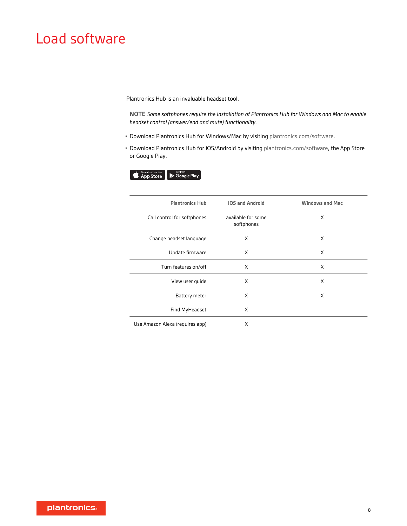## <span id="page-7-0"></span>Load software

Plantronics Hub is an invaluable headset tool.

**NOTE** *Some softphones require the installation of Plantronics Hub for Windows and Mac to enable headset control (answer/end and mute) functionality.*

- Download Plantronics Hub for Windows/Mac by visiting [plantronics.com/software.](https://www.plantronics.com/software)
- Download Plantronics Hub for iOS/Android by visiting [plantronics.com/software](https://www.plantronics.com/software), the App Store or Google Play.



| <b>Plantronics Hub</b>          | iOS and Android                  | <b>Windows and Mac</b> |
|---------------------------------|----------------------------------|------------------------|
| Call control for softphones     | available for some<br>softphones | X                      |
| Change headset language         | X                                | X                      |
| Update firmware                 | X                                | X                      |
| Turn features on/off            | X                                | X                      |
| View user quide                 | X                                | X                      |
| Battery meter                   | X                                | X                      |
| Find MyHeadset                  | X                                |                        |
| Use Amazon Alexa (requires app) | X                                |                        |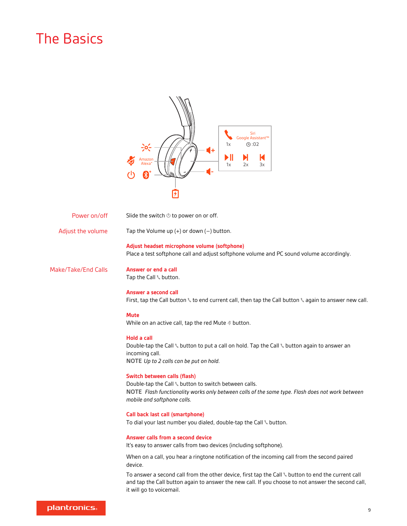# <span id="page-8-0"></span>The Basics



| Power on/off        | Slide the switch $\bigcirc$ to power on or off.                                                                                                                                                                         |
|---------------------|-------------------------------------------------------------------------------------------------------------------------------------------------------------------------------------------------------------------------|
| Adjust the volume   | Tap the Volume up $(+)$ or down $(-)$ button.                                                                                                                                                                           |
|                     | Adjust headset microphone volume (softphone)<br>Place a test softphone call and adjust softphone volume and PC sound volume accordingly.                                                                                |
| Make/Take/End Calls | Answer or end a call<br>Tap the Call \ button.                                                                                                                                                                          |
|                     | Answer a second call<br>First, tap the Call button \ to end current call, then tap the Call button \ again to answer new call.                                                                                          |
|                     | <b>Mute</b><br>While on an active call, tap the red Mute $\mathcal I$ button.                                                                                                                                           |
|                     | <b>Hold a call</b><br>Double-tap the Call \ button to put a call on hold. Tap the Call \ button again to answer an<br>incoming call.<br>NOTE Up to 2 calls can be put on hold.                                          |
|                     | Switch between calls (flash)<br>Double-tap the Call \ button to switch between calls.<br>NOTE Flash functionality works only between calls of the same type. Flash does not work between<br>mobile and softphone calls. |
|                     | Call back last call (smartphone)<br>To dial your last number you dialed, double-tap the Call \ button.                                                                                                                  |
|                     | Answer calls from a second device<br>It's easy to answer calls from two devices (including softphone).                                                                                                                  |
|                     | When on a call, you hear a ringtone notification of the incoming call from the second paired<br>device.                                                                                                                 |

To answer a second call from the other device, first tap the Call \ button to end the current call and tap the Call button again to answer the new call. If you choose to not answer the second call, it will go to voicemail.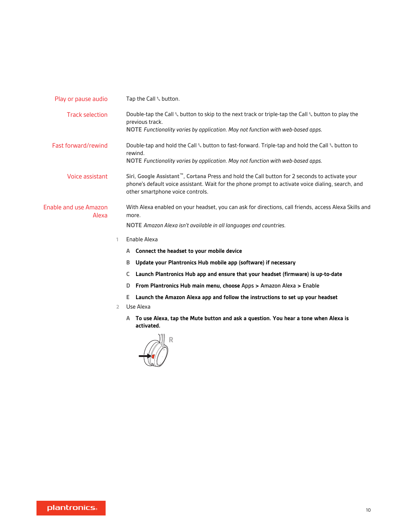<span id="page-9-0"></span>

| Play or pause audio            |                | Tap the Call \ button.                                                                                                                                                                                                                               |  |
|--------------------------------|----------------|------------------------------------------------------------------------------------------------------------------------------------------------------------------------------------------------------------------------------------------------------|--|
| <b>Track selection</b>         |                | Double-tap the Call \ button to skip to the next track or triple-tap the Call \ button to play the<br>previous track.<br>NOTE Functionality varies by application. May not function with web-based apps.                                             |  |
| Fast forward/rewind            |                | Double-tap and hold the Call \ button to fast-forward. Triple-tap and hold the Call \ button to<br>rewind.<br>NOTE Functionality varies by application. May not function with web-based apps.                                                        |  |
| Voice assistant                |                | Siri, Google Assistant <sup>™</sup> , Cortana Press and hold the Call button for 2 seconds to activate your<br>phone's default voice assistant. Wait for the phone prompt to activate voice dialing, search, and<br>other smartphone voice controls. |  |
| Enable and use Amazon<br>Alexa |                | With Alexa enabled on your headset, you can ask for directions, call friends, access Alexa Skills and<br>more.<br>NOTE Amazon Alexa isn't available in all languages and countries.                                                                  |  |
|                                | 1              | Enable Alexa                                                                                                                                                                                                                                         |  |
|                                |                | A Connect the headset to your mobile device                                                                                                                                                                                                          |  |
|                                |                | Update your Plantronics Hub mobile app (software) if necessary<br>в                                                                                                                                                                                  |  |
|                                |                | Launch Plantronics Hub app and ensure that your headset (firmware) is up-to-date<br>C.                                                                                                                                                               |  |
|                                |                | From Plantronics Hub main menu, choose Apps > Amazon Alexa > Enable<br>D                                                                                                                                                                             |  |
|                                |                | Launch the Amazon Alexa app and follow the instructions to set up your headset<br>E.                                                                                                                                                                 |  |
|                                | $\overline{2}$ | Use Alexa                                                                                                                                                                                                                                            |  |
|                                |                | To use Alexa, tap the Mute button and ask a question. You hear a tone when Alexa is<br>А<br>activated.                                                                                                                                               |  |
|                                |                |                                                                                                                                                                                                                                                      |  |

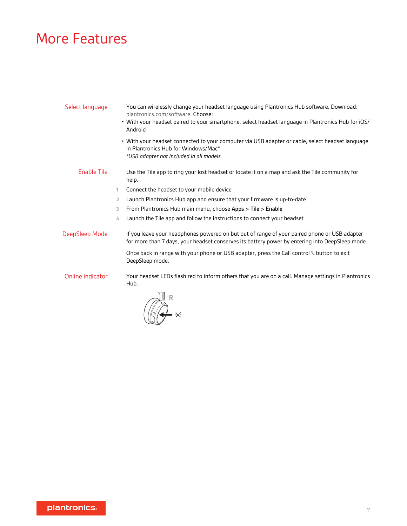# <span id="page-10-0"></span>More Features

| Select language    | You can wirelessly change your headset language using Plantronics Hub software. Download:<br>plantronics.com/software. Choose:<br>. With your headset paired to your smartphone, select headset language in Plantronics Hub for iOS/<br>Android |
|--------------------|-------------------------------------------------------------------------------------------------------------------------------------------------------------------------------------------------------------------------------------------------|
|                    | • With your headset connected to your computer via USB adapter or cable, select headset language<br>in Plantronics Hub for Windows/Mac*<br>*USB adapter not included in all models.                                                             |
| <b>Enable Tile</b> | Use the Tile app to ring your lost headset or locate it on a map and ask the Tile community for<br>help.                                                                                                                                        |
|                    | Connect the headset to your mobile device<br>1.                                                                                                                                                                                                 |
|                    | Launch Plantronics Hub app and ensure that your firmware is up-to-date<br>2                                                                                                                                                                     |
|                    | From Plantronics Hub main menu, choose Apps > Tile > Enable<br>3.                                                                                                                                                                               |
|                    | Launch the Tile app and follow the instructions to connect your headset<br>4                                                                                                                                                                    |
| DeepSleep Mode     | If you leave your headphones powered on but out of range of your paired phone or USB adapter<br>for more than 7 days, your headset conserves its battery power by entering into DeepSleep mode.                                                 |
|                    | Once back in range with your phone or USB adapter, press the Call control \ button to exit<br>DeepSleep mode.                                                                                                                                   |
| Online indicator   | Your headset LEDs flash red to inform others that you are on a call. Manage settings in Plantronics<br>Hub.                                                                                                                                     |
|                    |                                                                                                                                                                                                                                                 |

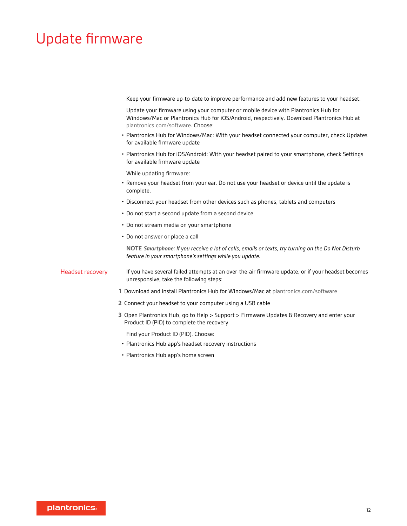## <span id="page-11-0"></span>Update firmware

Keep your firmware up-to-date to improve performance and add new features to your headset.

Update your firmware using your computer or mobile device with Plantronics Hub for Windows/Mac or Plantronics Hub for iOS/Android, respectively. Download Plantronics Hub at [plantronics.com/software](https://www.plantronics.com/software). Choose:

- Plantronics Hub for Windows/Mac: With your headset connected your computer, check Updates for available firmware update
- Plantronics Hub for iOS/Android: With your headset paired to your smartphone, check Settings for available firmware update

While updating firmware:

- Remove your headset from your ear. Do not use your headset or device until the update is complete.
- Disconnect your headset from other devices such as phones, tablets and computers
- Do not start a second update from a second device
- Do not stream media on your smartphone
- Do not answer or place a call

**NOTE** *Smartphone: If you receive a lot of calls, emails or texts, try turning on the Do Not Disturb feature in your smartphone's settings while you update.*

If you have several failed attempts at an over-the-air firmware update, or if your headset becomes unresponsive, take the following steps: Headset recovery

**1** Download and install Plantronics Hub for Windows/Mac at [plantronics.com/software](https://www.plantronics.com/software)

- **2** Connect your headset to your computer using a USB cable
- **3** Open Plantronics Hub, go to Help > Support > Firmware Updates & Recovery and enter your Product ID (PID) to complete the recovery

Find your Product ID (PID). Choose:

- Plantronics Hub app's headset recovery instructions
- Plantronics Hub app's home screen